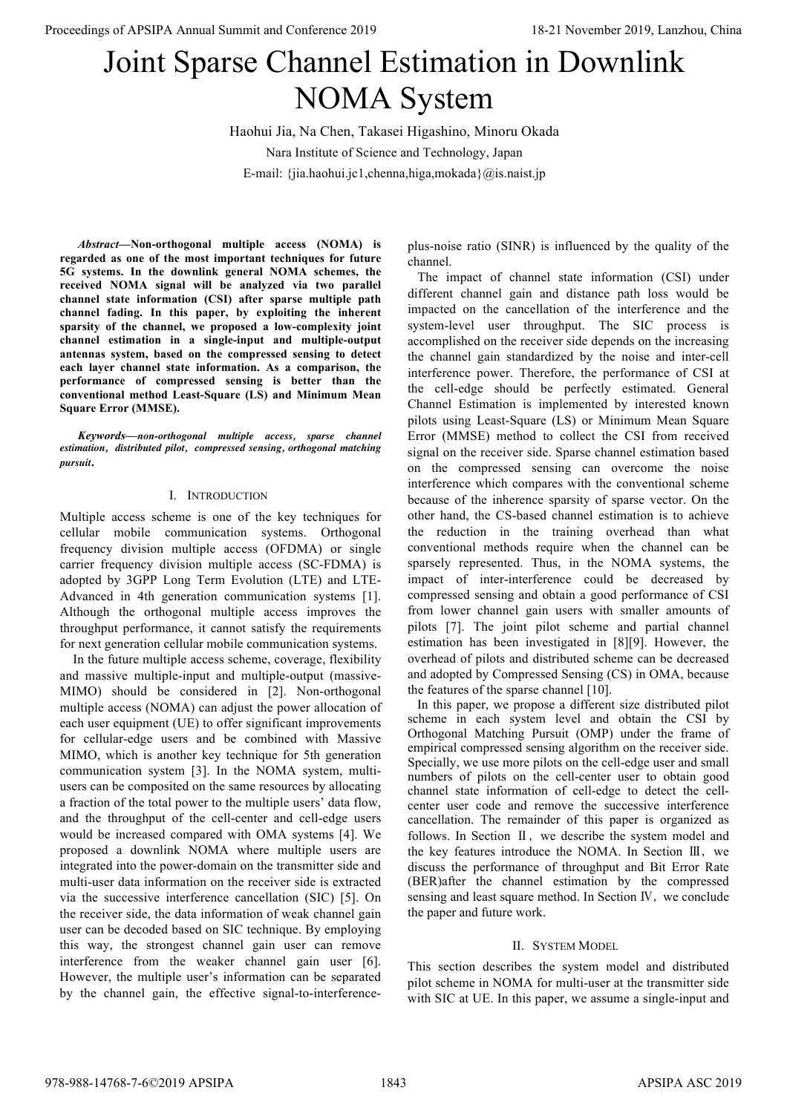# Joint Sparse Channel Estimation in Downlink NOMA System

Haohui Jia, Na Chen, Takasei Higashino, Minoru Okada Nara Institute of Science and Technology, Japan E-mail: {jia.haohui.jc1,chenna,higa,mokada}@is.naist.jp

*Abstract***—Non-orthogonal multiple access (NOMA) is regarded as one of the most important techniques for future 5G systems. In the downlink general NOMA schemes, the received NOMA signal will be analyzed via two parallel channel state information (CSI) after sparse multiple path channel fading. In this paper, by exploiting the inherent sparsity of the channel, we proposed a low-complexity joint channel estimation in a single-input and multiple-output antennas system, based on the compressed sensing to detect each layer channel state information. As a comparison, the performance of compressed sensing is better than the conventional method Least-Square (LS) and Minimum Mean Square Error (MMSE).** 

*Keywords—non-orthogonal multiple access, sparse channel estimation, distributed pilot, compressed sensing, orthogonal matching pursuit.*

# I. INTRODUCTION

Multiple access scheme is one of the key techniques for cellular mobile communication systems. Orthogonal frequency division multiple access (OFDMA) or single carrier frequency division multiple access (SC-FDMA) is adopted by 3GPP Long Term Evolution (LTE) and LTE-Advanced in 4th generation communication systems [1]. Although the orthogonal multiple access improves the throughput performance, it cannot satisfy the requirements for next generation cellular mobile communication systems.

 In the future multiple access scheme, coverage, flexibility and massive multiple-input and multiple-output (massive-MIMO) should be considered in [2]. Non-orthogonal multiple access (NOMA) can adjust the power allocation of each user equipment (UE) to offer significant improvements for cellular-edge users and be combined with Massive MIMO, which is another key technique for 5th generation communication system [3]. In the NOMA system, multiusers can be composited on the same resources by allocating a fraction of the total power to the multiple users' data flow, and the throughput of the cell-center and cell-edge users would be increased compared with OMA systems [4]. We proposed a downlink NOMA where multiple users are integrated into the power-domain on the transmitter side and multi-user data information on the receiver side is extracted via the successive interference cancellation (SIC) [5]. On the receiver side, the data information of weak channel gain user can be decoded based on SIC technique. By employing this way, the strongest channel gain user can remove interference from the weaker channel gain user [6]. However, the multiple user's information can be separated by the channel gain, the effective signal-to-interferenceplus-noise ratio (SINR) is influenced by the quality of the channel.

 The impact of channel state information (CSI) under different channel gain and distance path loss would be impacted on the cancellation of the interference and the system-level user throughput. The SIC process is accomplished on the receiver side depends on the increasing the channel gain standardized by the noise and inter-cell interference power. Therefore, the performance of CSI at the cell-edge should be perfectly estimated. General Channel Estimation is implemented by interested known pilots using Least-Square (LS) or Minimum Mean Square Error (MMSE) method to collect the CSI from received signal on the receiver side. Sparse channel estimation based on the compressed sensing can overcome the noise interference which compares with the conventional scheme because of the inherence sparsity of sparse vector. On the other hand, the CS-based channel estimation is to achieve the reduction in the training overhead than what conventional methods require when the channel can be sparsely represented. Thus, in the NOMA systems, the impact of inter-interference could be decreased by compressed sensing and obtain a good performance of CSI from lower channel gain users with smaller amounts of pilots [7]. The joint pilot scheme and partial channel estimation has been investigated in [8][9]. However, the overhead of pilots and distributed scheme can be decreased and adopted by Compressed Sensing (CS) in OMA, because the features of the sparse channel [10]. **Proceedings of APSIPA Annual Summit at Conference 2019. Conference 2019 Conference 2019 Conference 2019 Conference 2019 Conference 2019 Conference 2019 Conference 2019 Conference 2019 Conference 2019**

 In this paper, we propose a different size distributed pilot scheme in each system level and obtain the CSI by Orthogonal Matching Pursuit (OMP) under the frame of empirical compressed sensing algorithm on the receiver side. Specially, we use more pilots on the cell-edge user and small numbers of pilots on the cell-center user to obtain good channel state information of cell-edge to detect the cellcenter user code and remove the successive interference cancellation. The remainder of this paper is organized as follows. In Section Ⅱ, we describe the system model and the key features introduce the NOMA. In Section Ⅲ, we discuss the performance of throughput and Bit Error Rate (BER)after the channel estimation by the compressed sensing and least square method. In Section Ⅳ, we conclude the paper and future work.

# II. SYSTEM MODEL

This section describes the system model and distributed pilot scheme in NOMA for multi-user at the transmitter side with SIC at UE. In this paper, we assume a single-input and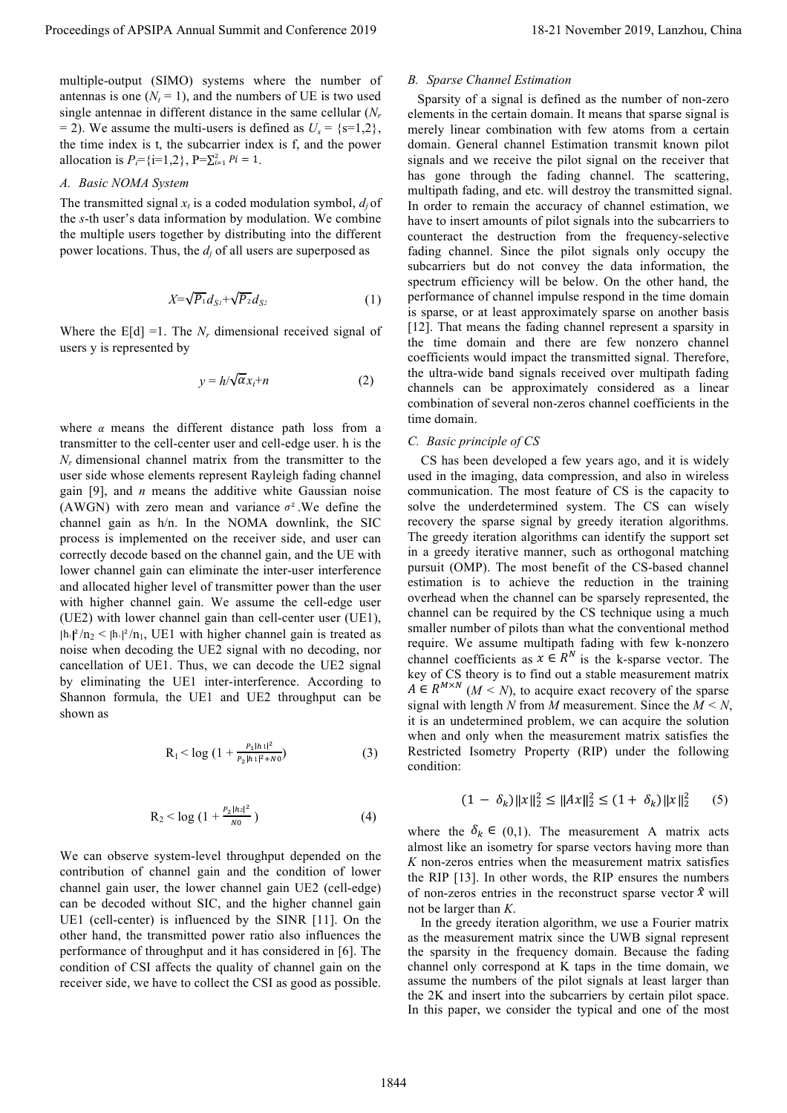multiple-output (SIMO) systems where the number of antennas is one  $(N_t = 1)$ , and the numbers of UE is two used single antennae in different distance in the same cellular (*Nr* = 2). We assume the multi-users is defined as  $U_s = \{s=1,2\}$ , the time index is t, the subcarrier index is f, and the power allocation is  $P_i = \{i=1, 2\}$ ,  $P = \sum_{i=1}^{2} Pi = 1$ .

### *A. Basic NOMA System*

The transmitted signal  $x_t$  is a coded modulation symbol,  $d_i$  of the *s*-th user's data information by modulation. We combine the multiple users together by distributing into the different power locations. Thus, the  $d_i$  of all users are superposed as

$$
X=\sqrt{P_1}d_{S1}+\sqrt{P_2}d_{S2}\tag{1}
$$

Where the  $E[d] = 1$ . The  $N_r$  dimensional received signal of users y is represented by

$$
y = h/\sqrt{\alpha}x_t + n \tag{2}
$$

where  $\alpha$  means the different distance path loss from a transmitter to the cell-center user and cell-edge user. h is the *Nr* dimensional channel matrix from the transmitter to the user side whose elements represent Rayleigh fading channel gain [9], and *n* means the additive white Gaussian noise (AWGN) with zero mean and variance  $\sigma^2$ . We define the channel gain as h/n. In the NOMA downlink, the SIC process is implemented on the receiver side, and user can correctly decode based on the channel gain, and the UE with lower channel gain can eliminate the inter-user interference and allocated higher level of transmitter power than the user with higher channel gain. We assume the cell-edge user (UE2) with lower channel gain than cell-center user (UE1),  $|h_1|^2/n_2 \le |h_1|^2/n_1$ , UE1 with higher channel gain is treated as noise when decoding the UE2 signal with no decoding, nor cancellation of UE1. Thus, we can decode the UE2 signal by eliminating the UE1 inter-interference. According to Shannon formula, the UE1 and UE2 throughput can be shown as

$$
R_1 < \log \left(1 + \frac{P_1 |h_1|^2}{P_2 |h_1|^2 + N_0}\right) \tag{3}
$$

$$
R_2 < \log\left(1 + \frac{P_2 |h_2|^2}{N0}\right) \tag{4}
$$

We can observe system-level throughput depended on the contribution of channel gain and the condition of lower channel gain user, the lower channel gain UE2 (cell-edge) can be decoded without SIC, and the higher channel gain UE1 (cell-center) is influenced by the SINR [11]. On the other hand, the transmitted power ratio also influences the performance of throughput and it has considered in [6]. The condition of CSI affects the quality of channel gain on the receiver side, we have to collect the CSI as good as possible.

### *B. Sparse Channel Estimation*

 Sparsity of a signal is defined as the number of non-zero elements in the certain domain. It means that sparse signal is merely linear combination with few atoms from a certain domain. General channel Estimation transmit known pilot signals and we receive the pilot signal on the receiver that has gone through the fading channel. The scattering, multipath fading, and etc. will destroy the transmitted signal. In order to remain the accuracy of channel estimation, we have to insert amounts of pilot signals into the subcarriers to counteract the destruction from the frequency-selective fading channel. Since the pilot signals only occupy the subcarriers but do not convey the data information, the spectrum efficiency will be below. On the other hand, the performance of channel impulse respond in the time domain is sparse, or at least approximately sparse on another basis [12]. That means the fading channel represent a sparsity in the time domain and there are few nonzero channel coefficients would impact the transmitted signal. Therefore, the ultra-wide band signals received over multipath fading channels can be approximately considered as a linear combination of several non-zeros channel coefficients in the time domain. Proceedings of APSIPA Annual Summit and Conference 2019<br>
material conference 2019, the material conference 2019, the material conference 2019, the material conference 2019, the material conference 2019, the material confe

# *C. Basic principle of CS*

 CS has been developed a few years ago, and it is widely used in the imaging, data compression, and also in wireless communication. The most feature of CS is the capacity to solve the underdetermined system. The CS can wisely recovery the sparse signal by greedy iteration algorithms. The greedy iteration algorithms can identify the support set in a greedy iterative manner, such as orthogonal matching pursuit (OMP). The most benefit of the CS-based channel estimation is to achieve the reduction in the training overhead when the channel can be sparsely represented, the channel can be required by the CS technique using a much smaller number of pilots than what the conventional method require. We assume multipath fading with few k-nonzero channel coefficients as  $x \in R^N$  is the k-sparse vector. The key of CS theory is to find out a stable measurement matrix  $A \in R^{M \times N}$  ( $M \le N$ ), to acquire exact recovery of the sparse signal with length *N* from *M* measurement. Since the *M < N*, it is an undetermined problem, we can acquire the solution when and only when the measurement matrix satisfies the Restricted Isometry Property (RIP) under the following condition:

$$
(1 - \delta_k) \|x\|_2^2 \le \|Ax\|_2^2 \le (1 + \delta_k) \|x\|_2^2 \tag{5}
$$

where the  $\delta_k \in (0,1)$ . The measurement A matrix acts almost like an isometry for sparse vectors having more than *K* non-zeros entries when the measurement matrix satisfies the RIP [13]. In other words, the RIP ensures the numbers of non-zeros entries in the reconstruct sparse vector  $\hat{x}$  will not be larger than *K*.

 In the greedy iteration algorithm, we use a Fourier matrix as the measurement matrix since the UWB signal represent the sparsity in the frequency domain. Because the fading channel only correspond at K taps in the time domain, we assume the numbers of the pilot signals at least larger than the 2K and insert into the subcarriers by certain pilot space. In this paper, we consider the typical and one of the most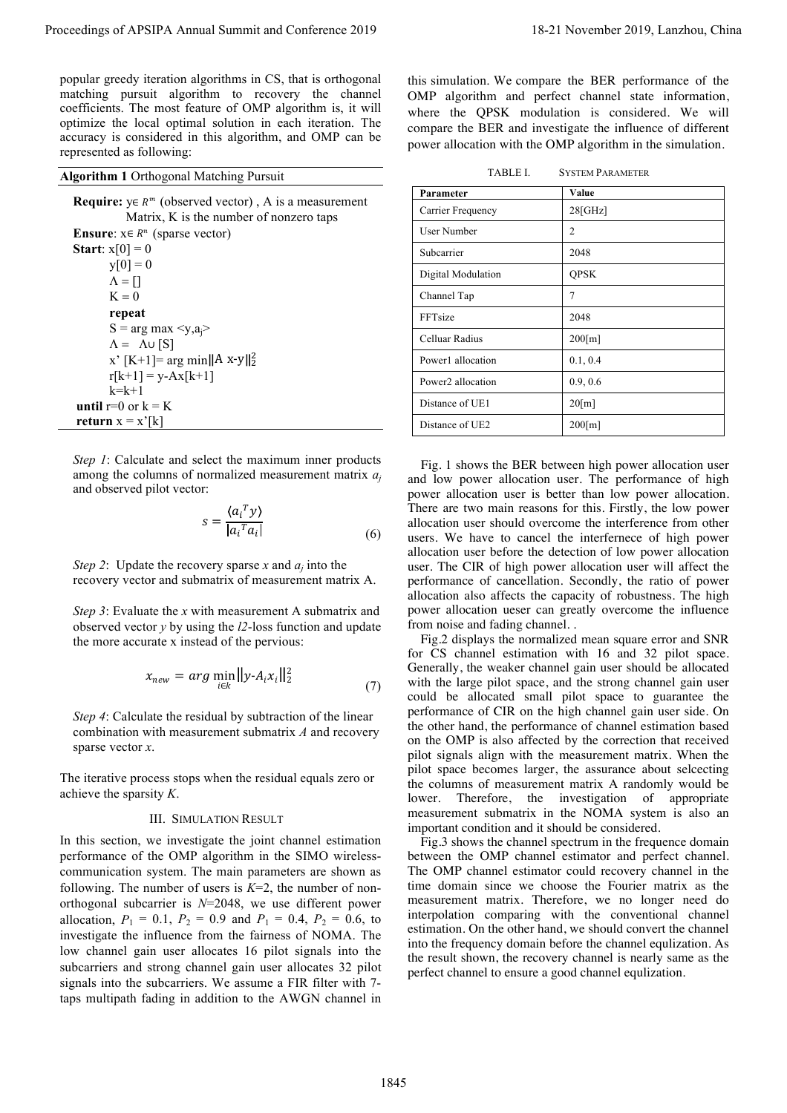#### **Algorithm 1** Orthogonal Matching Pursuit

$$
s = \frac{\langle a_i^T y \rangle}{\left| a_i^T a_i \right|} \tag{6}
$$

$$
x_{new} = arg \min_{i \in k} ||y \cdot A_i x_i||_2^2 \tag{7}
$$

#### III. SIMULATION RESULT

| popular greedy iteration algorithms in CS, that is orthogonal                                                                                                                                                                                                                                                                                                                                                                                                                                                                                                                                                                                                                                                  |                                                                                                                                                                                                                                                                                                                                                                                                                                                                                                                                                                                                                                                                                                                                                                                                                                                                                                                                                                                                                                                                                        |                                                                                                                                                                                                                                                                                                                                                                                                                                                                                                                                                                                                                 |
|----------------------------------------------------------------------------------------------------------------------------------------------------------------------------------------------------------------------------------------------------------------------------------------------------------------------------------------------------------------------------------------------------------------------------------------------------------------------------------------------------------------------------------------------------------------------------------------------------------------------------------------------------------------------------------------------------------------|----------------------------------------------------------------------------------------------------------------------------------------------------------------------------------------------------------------------------------------------------------------------------------------------------------------------------------------------------------------------------------------------------------------------------------------------------------------------------------------------------------------------------------------------------------------------------------------------------------------------------------------------------------------------------------------------------------------------------------------------------------------------------------------------------------------------------------------------------------------------------------------------------------------------------------------------------------------------------------------------------------------------------------------------------------------------------------------|-----------------------------------------------------------------------------------------------------------------------------------------------------------------------------------------------------------------------------------------------------------------------------------------------------------------------------------------------------------------------------------------------------------------------------------------------------------------------------------------------------------------------------------------------------------------------------------------------------------------|
| matching pursuit algorithm to recovery the channel<br>coefficients. The most feature of OMP algorithm is, it will<br>optimize the local optimal solution in each iteration. The<br>accuracy is considered in this algorithm, and OMP can be<br>represented as following:                                                                                                                                                                                                                                                                                                                                                                                                                                       | this simulation. We compare the BER performance of the<br>OMP algorithm and perfect channel state information,<br>where the QPSK modulation is considered. We will<br>compare the BER and investigate the influence of different<br>power allocation with the OMP algorithm in the simulation.                                                                                                                                                                                                                                                                                                                                                                                                                                                                                                                                                                                                                                                                                                                                                                                         |                                                                                                                                                                                                                                                                                                                                                                                                                                                                                                                                                                                                                 |
| <b>Algorithm 1 Orthogonal Matching Pursuit</b>                                                                                                                                                                                                                                                                                                                                                                                                                                                                                                                                                                                                                                                                 | TABLE I.<br><b>SYSTEM PARAMETER</b>                                                                                                                                                                                                                                                                                                                                                                                                                                                                                                                                                                                                                                                                                                                                                                                                                                                                                                                                                                                                                                                    |                                                                                                                                                                                                                                                                                                                                                                                                                                                                                                                                                                                                                 |
| <b>Require:</b> $y \in R^m$ (observed vector), A is a measurement                                                                                                                                                                                                                                                                                                                                                                                                                                                                                                                                                                                                                                              | Parameter                                                                                                                                                                                                                                                                                                                                                                                                                                                                                                                                                                                                                                                                                                                                                                                                                                                                                                                                                                                                                                                                              | Value                                                                                                                                                                                                                                                                                                                                                                                                                                                                                                                                                                                                           |
| Matrix, K is the number of nonzero taps                                                                                                                                                                                                                                                                                                                                                                                                                                                                                                                                                                                                                                                                        | Carrier Frequency                                                                                                                                                                                                                                                                                                                                                                                                                                                                                                                                                                                                                                                                                                                                                                                                                                                                                                                                                                                                                                                                      | 28[GHz]                                                                                                                                                                                                                                                                                                                                                                                                                                                                                                                                                                                                         |
| <b>Ensure:</b> $x \in R^n$ (sparse vector)                                                                                                                                                                                                                                                                                                                                                                                                                                                                                                                                                                                                                                                                     | User Number                                                                                                                                                                                                                                                                                                                                                                                                                                                                                                                                                                                                                                                                                                                                                                                                                                                                                                                                                                                                                                                                            | $\overline{2}$                                                                                                                                                                                                                                                                                                                                                                                                                                                                                                                                                                                                  |
| Start: $x[0] = 0$                                                                                                                                                                                                                                                                                                                                                                                                                                                                                                                                                                                                                                                                                              | Subcarrier                                                                                                                                                                                                                                                                                                                                                                                                                                                                                                                                                                                                                                                                                                                                                                                                                                                                                                                                                                                                                                                                             | 2048                                                                                                                                                                                                                                                                                                                                                                                                                                                                                                                                                                                                            |
| $y[0] = 0$<br>$\Lambda = []$                                                                                                                                                                                                                                                                                                                                                                                                                                                                                                                                                                                                                                                                                   | Digital Modulation                                                                                                                                                                                                                                                                                                                                                                                                                                                                                                                                                                                                                                                                                                                                                                                                                                                                                                                                                                                                                                                                     | <b>QPSK</b>                                                                                                                                                                                                                                                                                                                                                                                                                                                                                                                                                                                                     |
| $K = 0$                                                                                                                                                                                                                                                                                                                                                                                                                                                                                                                                                                                                                                                                                                        | Channel Tap                                                                                                                                                                                                                                                                                                                                                                                                                                                                                                                                                                                                                                                                                                                                                                                                                                                                                                                                                                                                                                                                            | $\boldsymbol{7}$                                                                                                                                                                                                                                                                                                                                                                                                                                                                                                                                                                                                |
| repeat                                                                                                                                                                                                                                                                                                                                                                                                                                                                                                                                                                                                                                                                                                         | FFTsize                                                                                                                                                                                                                                                                                                                                                                                                                                                                                                                                                                                                                                                                                                                                                                                                                                                                                                                                                                                                                                                                                | 2048                                                                                                                                                                                                                                                                                                                                                                                                                                                                                                                                                                                                            |
| $S = arg max $                                                                                                                                                                                                                                                                                                                                                                                                                                                                                                                                                                                                                                                                                                 | Celluar Radius                                                                                                                                                                                                                                                                                                                                                                                                                                                                                                                                                                                                                                                                                                                                                                                                                                                                                                                                                                                                                                                                         | 200[m]                                                                                                                                                                                                                                                                                                                                                                                                                                                                                                                                                                                                          |
| $\Lambda = \Lambda \cup [S]$<br>x' [K+1]= arg min  A x-y   $_2^2$                                                                                                                                                                                                                                                                                                                                                                                                                                                                                                                                                                                                                                              | Power1 allocation                                                                                                                                                                                                                                                                                                                                                                                                                                                                                                                                                                                                                                                                                                                                                                                                                                                                                                                                                                                                                                                                      | 0.1, 0.4                                                                                                                                                                                                                                                                                                                                                                                                                                                                                                                                                                                                        |
| $r[k+1] = y - Ax[k+1]$                                                                                                                                                                                                                                                                                                                                                                                                                                                                                                                                                                                                                                                                                         | Power2 allocation                                                                                                                                                                                                                                                                                                                                                                                                                                                                                                                                                                                                                                                                                                                                                                                                                                                                                                                                                                                                                                                                      | 0.9, 0.6                                                                                                                                                                                                                                                                                                                                                                                                                                                                                                                                                                                                        |
| $k=k+1$<br>until $r=0$ or $k = K$                                                                                                                                                                                                                                                                                                                                                                                                                                                                                                                                                                                                                                                                              | Distance of UE1                                                                                                                                                                                                                                                                                                                                                                                                                                                                                                                                                                                                                                                                                                                                                                                                                                                                                                                                                                                                                                                                        | 20[m]                                                                                                                                                                                                                                                                                                                                                                                                                                                                                                                                                                                                           |
| return $x = x'[k]$                                                                                                                                                                                                                                                                                                                                                                                                                                                                                                                                                                                                                                                                                             | Distance of UE2                                                                                                                                                                                                                                                                                                                                                                                                                                                                                                                                                                                                                                                                                                                                                                                                                                                                                                                                                                                                                                                                        | $200$ [m]                                                                                                                                                                                                                                                                                                                                                                                                                                                                                                                                                                                                       |
|                                                                                                                                                                                                                                                                                                                                                                                                                                                                                                                                                                                                                                                                                                                |                                                                                                                                                                                                                                                                                                                                                                                                                                                                                                                                                                                                                                                                                                                                                                                                                                                                                                                                                                                                                                                                                        |                                                                                                                                                                                                                                                                                                                                                                                                                                                                                                                                                                                                                 |
| recovery vector and submatrix of measurement matrix A.<br>Step 3: Evaluate the x with measurement A submatrix and<br>observed vector $y$ by using the $l2$ -loss function and update<br>the more accurate x instead of the pervious:<br>$x_{new} = arg \min_{i \in k}   y - A_i x_i  _2^2$<br>(7)<br>Step 4: Calculate the residual by subtraction of the linear<br>combination with measurement submatrix $A$ and recovery<br>sparse vector $x$ .<br>The iterative process stops when the residual equals zero or<br>achieve the sparsity $K$ .<br><b>III. SIMULATION RESULT</b>                                                                                                                              | performance of cancellation. Secondly, the ratio of power<br>allocation also affects the capacity of robustness. The high<br>power allocation ueser can greatly overcome the influence<br>from noise and fading channel<br>Fig.2 displays the normalized mean square error and SNR<br>for CS channel estimation with 16 and 32 pilot space.<br>Generally, the weaker channel gain user should be allocated<br>with the large pilot space, and the strong channel gain user<br>could be allocated small pilot space to guarantee the<br>performance of CIR on the high channel gain user side. On<br>the other hand, the performance of channel estimation based<br>on the OMP is also affected by the correction that received<br>pilot signals align with the measurement matrix. When the<br>pilot space becomes larger, the assurance about selcecting<br>the columns of measurement matrix A randomly would be<br>Therefore, the investigation of appropriate<br>lower.<br>measurement submatrix in the NOMA system is also an<br>important condition and it should be considered. |                                                                                                                                                                                                                                                                                                                                                                                                                                                                                                                                                                                                                 |
| In this section, we investigate the joint channel estimation<br>performance of the OMP algorithm in the SIMO wireless-<br>communication system. The main parameters are shown as<br>following. The number of users is $K=2$ , the number of non-<br>orthogonal subcarrier is $N=2048$ , we use different power<br>allocation, $P_1 = 0.1$ , $P_2 = 0.9$ and $P_1 = 0.4$ , $P_2 = 0.6$ , to<br>investigate the influence from the fairness of NOMA. The<br>low channel gain user allocates 16 pilot signals into the<br>subcarriers and strong channel gain user allocates 32 pilot<br>signals into the subcarriers. We assume a FIR filter with 7-<br>taps multipath fading in addition to the AWGN channel in |                                                                                                                                                                                                                                                                                                                                                                                                                                                                                                                                                                                                                                                                                                                                                                                                                                                                                                                                                                                                                                                                                        | Fig.3 shows the channel spectrum in the frequence domain<br>between the OMP channel estimator and perfect channel.<br>The OMP channel estimator could recovery channel in the<br>time domain since we choose the Fourier matrix as the<br>measurement matrix. Therefore, we no longer need do<br>interpolation comparing with the conventional channel<br>estimation. On the other hand, we should convert the channel<br>into the frequency domain before the channel equlization. As<br>the result shown, the recovery channel is nearly same as the<br>perfect channel to ensure a good channel equlization. |